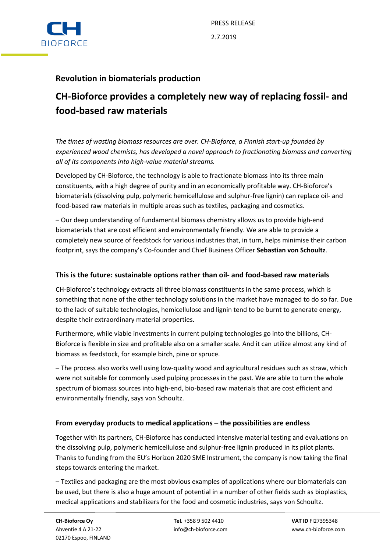

## **Revolution in biomaterials production**

# **CH-Bioforce provides a completely new way of replacing fossil- and food-based raw materials**

*The times of wasting biomass resources are over. CH-Bioforce, a Finnish start-up founded by experienced wood chemists, has developed a novel approach to fractionating biomass and converting all of its components into high-value material streams.*

Developed by CH-Bioforce, the technology is able to fractionate biomass into its three main constituents, with a high degree of purity and in an economically profitable way. CH-Bioforce's biomaterials (dissolving pulp, polymeric hemicellulose and sulphur-free lignin) can replace oil- and food-based raw materials in multiple areas such as textiles, packaging and cosmetics.

– Our deep understanding of fundamental biomass chemistry allows us to provide high-end biomaterials that are cost efficient and environmentally friendly. We are able to provide a completely new source of feedstock for various industries that, in turn, helps minimise their carbon footprint, says the company's Co-founder and Chief Business Officer **Sebastian von Schoultz**.

## **This is the future: sustainable options rather than oil- and food-based raw materials**

CH-Bioforce's technology extracts all three biomass constituents in the same process, which is something that none of the other technology solutions in the market have managed to do so far. Due to the lack of suitable technologies, hemicellulose and lignin tend to be burnt to generate energy, despite their extraordinary material properties.

Furthermore, while viable investments in current pulping technologies go into the billions, CH-Bioforce is flexible in size and profitable also on a smaller scale. And it can utilize almost any kind of biomass as feedstock, for example birch, pine or spruce.

– The process also works well using low-quality wood and agricultural residues such as straw, which were not suitable for commonly used pulping processes in the past. We are able to turn the whole spectrum of biomass sources into high-end, bio-based raw materials that are cost efficient and environmentally friendly, says von Schoultz.

## **From everyday products to medical applications – the possibilities are endless**

Together with its partners, CH-Bioforce has conducted intensive material testing and evaluations on the dissolving pulp, polymeric hemicellulose and sulphur-free lignin produced in its pilot plants. Thanks to funding from the EU's Horizon 2020 SME Instrument, the company is now taking the final steps towards entering the market.

– Textiles and packaging are the most obvious examples of applications where our biomaterials can be used, but there is also a huge amount of potential in a number of other fields such as bioplastics, medical applications and stabilizers for the food and cosmetic industries, says von Schoultz.